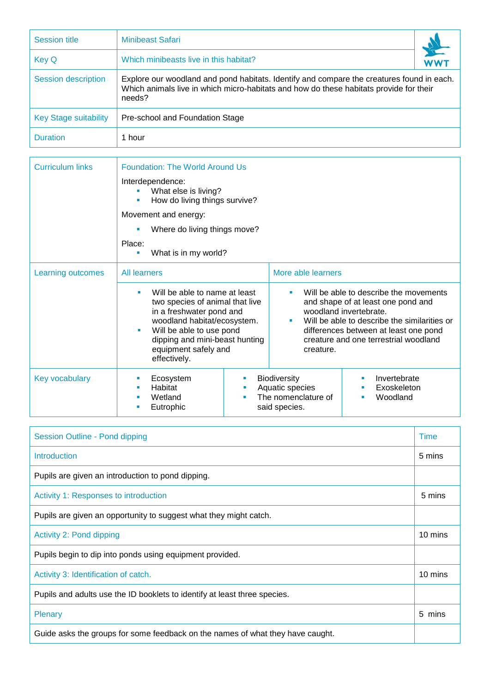| <b>Session title</b>         | <b>Minibeast Safari</b>                                                                                                                                                                       |  |  |  |
|------------------------------|-----------------------------------------------------------------------------------------------------------------------------------------------------------------------------------------------|--|--|--|
| <b>Key Q</b>                 | Which minibeasts live in this habitat?                                                                                                                                                        |  |  |  |
| <b>Session description</b>   | Explore our woodland and pond habitats. Identify and compare the creatures found in each.<br>Which animals live in which micro-habitats and how do these habitats provide for their<br>needs? |  |  |  |
| <b>Key Stage suitability</b> | Pre-school and Foundation Stage                                                                                                                                                               |  |  |  |
| <b>Duration</b>              | 1 hour                                                                                                                                                                                        |  |  |  |

| <b>Curriculum links</b> | <b>Foundation: The World Around Us</b>                           |                                                                                                                                                                                                                                   |                                                                                |                                                                                                                                                                                                                                                                 |  |  |
|-------------------------|------------------------------------------------------------------|-----------------------------------------------------------------------------------------------------------------------------------------------------------------------------------------------------------------------------------|--------------------------------------------------------------------------------|-----------------------------------------------------------------------------------------------------------------------------------------------------------------------------------------------------------------------------------------------------------------|--|--|
|                         | Interdependence:<br>What else is living?<br>Movement and energy: | How do living things survive?                                                                                                                                                                                                     |                                                                                |                                                                                                                                                                                                                                                                 |  |  |
|                         | Where do living things move?                                     |                                                                                                                                                                                                                                   |                                                                                |                                                                                                                                                                                                                                                                 |  |  |
|                         | Place:<br>What is in my world?<br>ш                              |                                                                                                                                                                                                                                   |                                                                                |                                                                                                                                                                                                                                                                 |  |  |
| Learning outcomes       | <b>All learners</b>                                              | Will be able to name at least<br>two species of animal that live<br>in a freshwater pond and<br>woodland habitat/ecosystem.<br>Will be able to use pond<br>dipping and mini-beast hunting<br>equipment safely and<br>effectively. |                                                                                | More able learners                                                                                                                                                                                                                                              |  |  |
|                         |                                                                  |                                                                                                                                                                                                                                   |                                                                                | Will be able to describe the movements<br>٠<br>and shape of at least one pond and<br>woodland invertebrate.<br>Will be able to describe the similarities or<br>٠<br>differences between at least one pond<br>creature and one terrestrial woodland<br>creature. |  |  |
| Key vocabulary          | Ecosystem<br>Habitat<br>$\mathbf{r}$<br>Wetland<br>Eutrophic     | a.<br>ш                                                                                                                                                                                                                           | <b>Biodiversity</b><br>Aquatic species<br>The nomenclature of<br>said species. | Invertebrate<br>Exoskeleton<br>Woodland                                                                                                                                                                                                                         |  |  |

| Session Outline - Pond dipping                                                 |         |  |
|--------------------------------------------------------------------------------|---------|--|
| Introduction                                                                   | 5 mins  |  |
| Pupils are given an introduction to pond dipping.                              |         |  |
| Activity 1: Responses to introduction                                          | 5 mins  |  |
| Pupils are given an opportunity to suggest what they might catch.              |         |  |
| Activity 2: Pond dipping                                                       | 10 mins |  |
| Pupils begin to dip into ponds using equipment provided.                       |         |  |
| Activity 3: Identification of catch.                                           | 10 mins |  |
| Pupils and adults use the ID booklets to identify at least three species.      |         |  |
| <b>Plenary</b>                                                                 | 5 mins  |  |
| Guide asks the groups for some feedback on the names of what they have caught. |         |  |